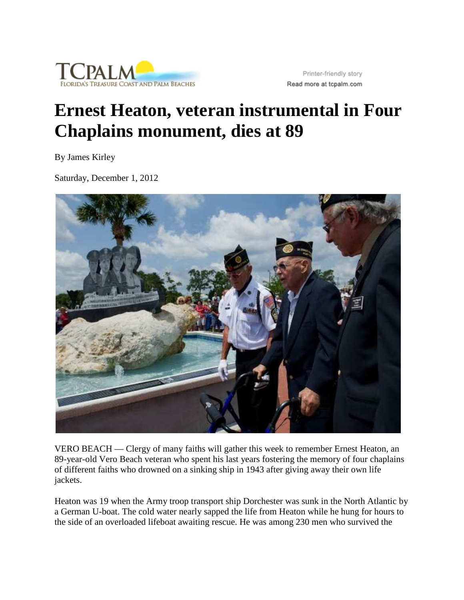

Printer-friendly story Read more at tcpalm.com

## **Ernest Heaton, veteran instrumental in Four Chaplains monument, dies at 89**

By James Kirley

Saturday, December 1, 2012



VERO BEACH — Clergy of many faiths will gather this week to remember Ernest Heaton, an 89-year-old Vero Beach veteran who spent his last years fostering the memory of four chaplains of different faiths who drowned on a sinking ship in 1943 after giving away their own life jackets.

Heaton was 19 when the Army troop transport ship Dorchester was sunk in the North Atlantic by a German U-boat. The cold water nearly sapped the life from Heaton while he hung for hours to the side of an overloaded lifeboat awaiting rescue. He was among 230 men who survived the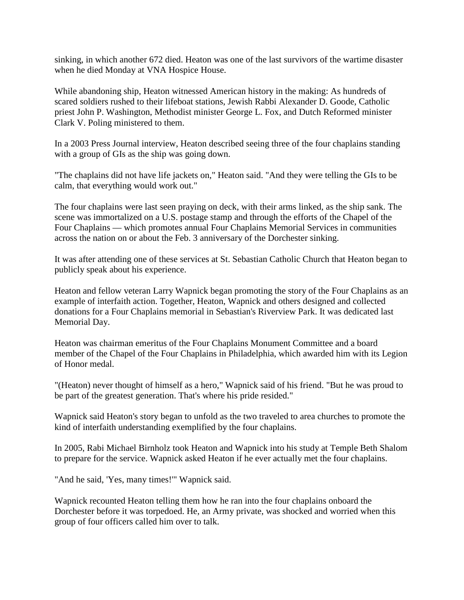sinking, in which another 672 died. Heaton was one of the last survivors of the wartime disaster when he died Monday at VNA Hospice House.

While abandoning ship, Heaton witnessed American history in the making: As hundreds of scared soldiers rushed to their lifeboat stations, Jewish Rabbi Alexander D. Goode, Catholic priest John P. Washington, Methodist minister George L. Fox, and Dutch Reformed minister Clark V. Poling ministered to them.

In a 2003 Press Journal interview, Heaton described seeing three of the four chaplains standing with a group of GIs as the ship was going down.

"The chaplains did not have life jackets on," Heaton said. "And they were telling the GIs to be calm, that everything would work out."

The four chaplains were last seen praying on deck, with their arms linked, as the ship sank. The scene was immortalized on a U.S. postage stamp and through the efforts of the Chapel of the Four Chaplains — which promotes annual Four Chaplains Memorial Services in communities across the nation on or about the Feb. 3 anniversary of the Dorchester sinking.

It was after attending one of these services at St. Sebastian Catholic Church that Heaton began to publicly speak about his experience.

Heaton and fellow veteran Larry Wapnick began promoting the story of the Four Chaplains as an example of interfaith action. Together, Heaton, Wapnick and others designed and collected donations for a Four Chaplains memorial in Sebastian's Riverview Park. It was dedicated last Memorial Day.

Heaton was chairman emeritus of the Four Chaplains Monument Committee and a board member of the Chapel of the Four Chaplains in Philadelphia, which awarded him with its Legion of Honor medal.

"(Heaton) never thought of himself as a hero," Wapnick said of his friend. "But he was proud to be part of the greatest generation. That's where his pride resided."

Wapnick said Heaton's story began to unfold as the two traveled to area churches to promote the kind of interfaith understanding exemplified by the four chaplains.

In 2005, Rabi Michael Birnholz took Heaton and Wapnick into his study at Temple Beth Shalom to prepare for the service. Wapnick asked Heaton if he ever actually met the four chaplains.

"And he said, 'Yes, many times!'" Wapnick said.

Wapnick recounted Heaton telling them how he ran into the four chaplains onboard the Dorchester before it was torpedoed. He, an Army private, was shocked and worried when this group of four officers called him over to talk.